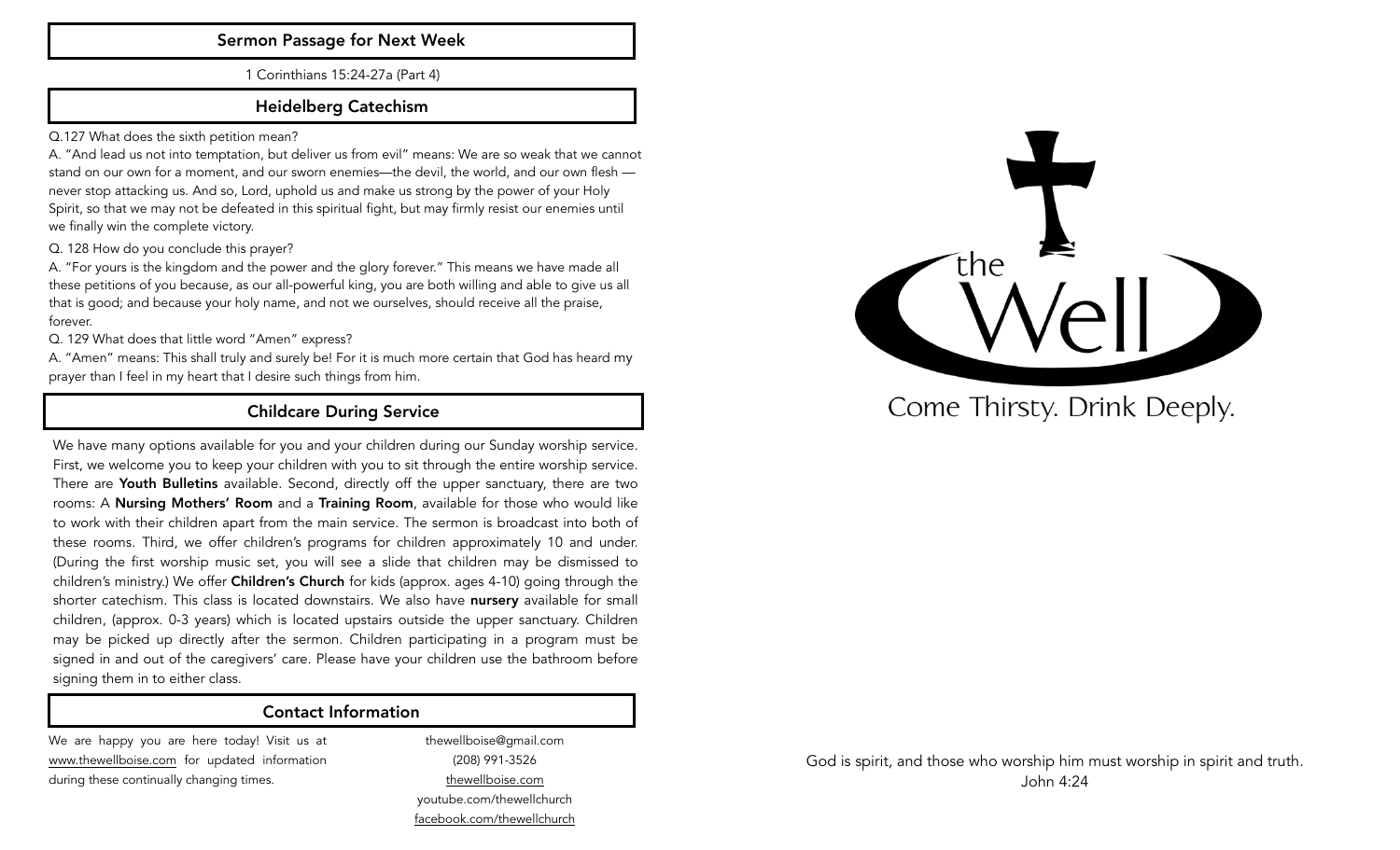#### Sermon Passage for Next Week

1 Corinthians 15:24-27a (Part 4)

#### Heidelberg Catechism

Q.127 What does the sixth petition mean?

A. "And lead us not into temptation, but deliver us from evil" means: We are so weak that we cannot stand on our own for a moment, and our sworn enemies—the devil, the world, and our own flesh never stop attacking us. And so, Lord, uphold us and make us strong by the power of your Holy Spirit, so that we may not be defeated in this spiritual fight, but may firmly resist our enemies until we finally win the complete victory.

Q. 128 How do you conclude this prayer?

A. "For yours is the kingdom and the power and the glory forever." This means we have made all these petitions of you because, as our all-powerful king, you are both willing and able to give us all that is good; and because your holy name, and not we ourselves, should receive all the praise, forever.

Q. 129 What does that little word "Amen" express?

A. "Amen" means: This shall truly and surely be! For it is much more certain that God has heard my prayer than I feel in my heart that I desire such things from him.

# Childcare During Service

We have many options available for you and your children during our Sunday worship service. First, we welcome you to keep your children with you to sit through the entire worship service. There are Youth Bulletins available. Second, directly off the upper sanctuary, there are two rooms: A Nursing Mothers' Room and a Training Room, available for those who would like to work with their children apart from the main service. The sermon is broadcast into both of these rooms. Third, we offer children's programs for children approximately 10 and under. (During the first worship music set, you will see a slide that children may be dismissed to children's ministry.) We offer Children's Church for kids (approx. ages 4-10) going through the shorter catechism. This class is located downstairs. We also have nursery available for small children, (approx. 0-3 years) which is located upstairs outside the upper sanctuary. Children may be picked up directly after the sermon. Children participating in a program must be signed in and out of the caregivers' care. Please have your children use the bathroom before signing them in to either class.

#### Contact Information

We are happy you are here today! Visit us at [www.thewellboise.com](http://www.thewellboise.com) for updated information during these continually changing times.

thewellboise@gmail.com (208) 991-3526 [thewellboise.com](http://thewellboise.com) youtube.com/thewellchurch [facebook.com/thewellchurch](http://facebook.com/thewellchurch)



Come Thirsty. Drink Deeply.

God is spirit, and those who worship him must worship in spirit and truth. John 4:24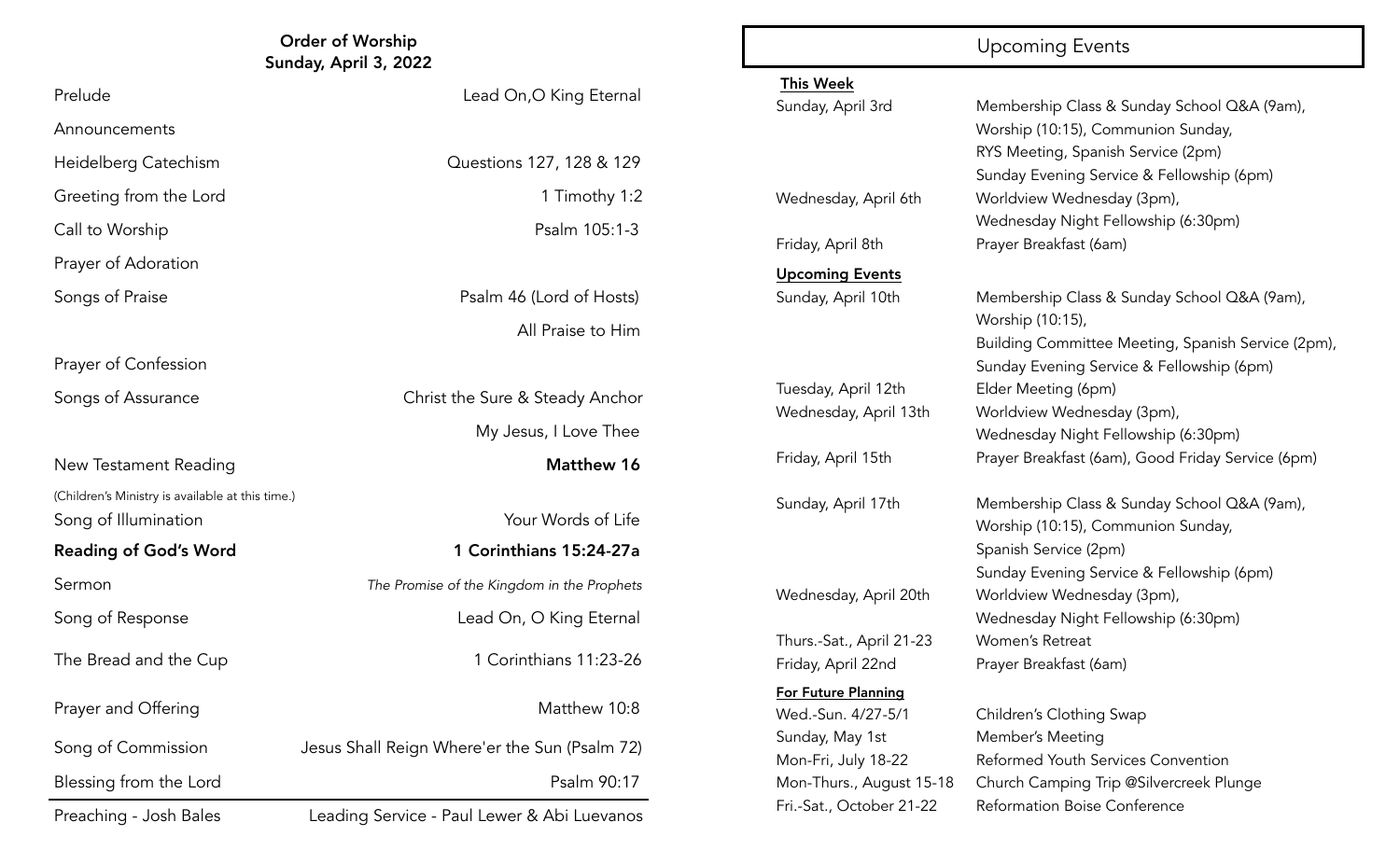# Order of Worship Upcoming Events Sunday, April 3, 2022

Prelude **Lead On,O King Eternal** Announcements Heidelberg Catechism Questions 127, 128 & 129 Greeting from the Lord 1 Timothy 1:2 Call to Worship **Psalm 105:1-3** Prayer of Adoration Songs of Praise **Praise** Psalm 46 (Lord of Hosts) Prayer of Confession Songs of Assurance **Christ the Sure & Steady Anchor** New Testament Reading Matthew 16 (Children's Ministry is available at this time.) Song of Illumination Song of Illumination Song of Life Reading of God's Word 1 Corinthians 15:24-27a Sermon *The Promise of the Kingdom in the Prophets* Song of Response **Lead On, O King Eternal** The Bread and the Cup 1 Corinthians 11:23-26 Prayer and Offering Matthew 10:8 Song of Commission Jesus Shall Reign Where'er the Sun (Psalm 72) Blessing from the Lord **Psalm 90:17** Preaching - Josh Bales Leading Service - Paul Lewer & Abi Luevanos

 All Praise to Him My Jesus, I Love Thee

| <b>This Week</b>         |                                                                 |
|--------------------------|-----------------------------------------------------------------|
| Sunday, April 3rd        | Membership Class & Sunday School Q&A (9am),                     |
|                          | Worship (10:15), Communion Sunday,                              |
|                          | RYS Meeting, Spanish Service (2pm)                              |
|                          | Sunday Evening Service & Fellowship (6pm)                       |
| Wednesday, April 6th     | Worldview Wednesday (3pm),                                      |
|                          | Wednesday Night Fellowship (6:30pm)                             |
| Friday, April 8th        | Prayer Breakfast (6am)                                          |
| <b>Upcoming Events</b>   |                                                                 |
| Sunday, April 10th       | Membership Class & Sunday School Q&A (9am),<br>Worship (10:15), |
|                          | Building Committee Meeting, Spanish Service (2pm),              |
|                          | Sunday Evening Service & Fellowship (6pm)                       |
| Tuesday, April 12th      | Elder Meeting (6pm)                                             |
| Wednesday, April 13th    | Worldview Wednesday (3pm),                                      |
|                          | Wednesday Night Fellowship (6:30pm)                             |
| Friday, April 15th       | Prayer Breakfast (6am), Good Friday Service (6pm)               |
| Sunday, April 17th       | Membership Class & Sunday School Q&A (9am),                     |
|                          | Worship (10:15), Communion Sunday,                              |
|                          | Spanish Service (2pm)                                           |
|                          | Sunday Evening Service & Fellowship (6pm)                       |
| Wednesday, April 20th    | Worldview Wednesday (3pm),                                      |
|                          | Wednesday Night Fellowship (6:30pm)                             |
| Thurs.-Sat., April 21-23 | <b>Women's Retreat</b>                                          |
| Friday, April 22nd       | Prayer Breakfast (6am)                                          |
| For Future Planning      |                                                                 |
| Wed.-Sun. 4/27-5/1       | Children's Clothing Swap                                        |
| Sunday, May 1st          | Member's Meeting                                                |
| Mon-Fri, July 18-22      | Reformed Youth Services Convention                              |
| Mon-Thurs., August 15-18 | Church Camping Trip @Silvercreek Plunge                         |
| Fri.-Sat., October 21-22 | Reformation Boise Conference                                    |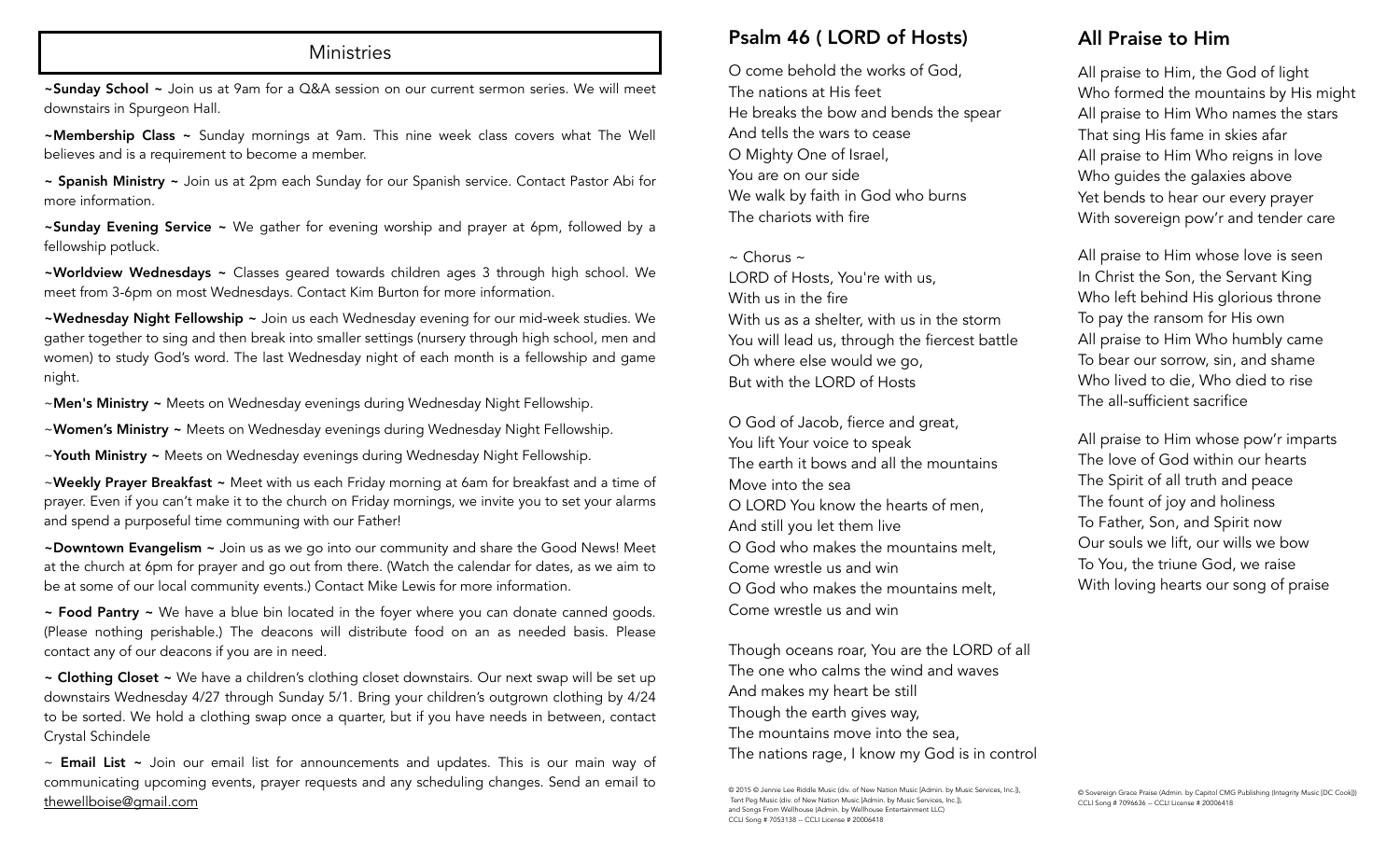### Ministries

~Sunday School ~ Join us at 9am for a Q&A session on our current sermon series. We will meet downstairs in Spurgeon Hall.

 $\sim$ Membership Class  $\sim$  Sunday mornings at 9am. This nine week class covers what The Well believes and is a requirement to become a member.

~ Spanish Ministry ~ Join us at 2pm each Sunday for our Spanish service. Contact Pastor Abi for more information.

~Sunday Evening Service ~ We gather for evening worship and prayer at 6pm, followed by a fellowship potluck.

~Worldview Wednesdays ~ Classes geared towards children ages 3 through high school. We meet from 3-6pm on most Wednesdays. Contact Kim Burton for more information.

~Wednesday Night Fellowship ~ Join us each Wednesday evening for our mid-week studies. We gather together to sing and then break into smaller settings (nursery through high school, men and women) to study God's word. The last Wednesday night of each month is a fellowship and game night.

~Men's Ministry ~ Meets on Wednesday evenings during Wednesday Night Fellowship.

~Women's Ministry ~ Meets on Wednesday evenings during Wednesday Night Fellowship.

~Youth Ministry ~ Meets on Wednesday evenings during Wednesday Night Fellowship.

~Weekly Prayer Breakfast ~ Meet with us each Friday morning at 6am for breakfast and a time of prayer. Even if you can't make it to the church on Friday mornings, we invite you to set your alarms and spend a purposeful time communing with our Father!

~Downtown Evangelism ~ Join us as we go into our community and share the Good News! Meet at the church at 6pm for prayer and go out from there. (Watch the calendar for dates, as we aim to be at some of our local community events.) Contact Mike Lewis for more information.

~ Food Pantry ~ We have a blue bin located in the foyer where you can donate canned goods. (Please nothing perishable.) The deacons will distribute food on an as needed basis. Please contact any of our deacons if you are in need.

~ Clothing Closet ~ We have a children's clothing closet downstairs. Our next swap will be set up downstairs Wednesday 4/27 through Sunday 5/1. Bring your children's outgrown clothing by 4/24 to be sorted. We hold a clothing swap once a quarter, but if you have needs in between, contact Crystal Schindele

~ Email List ~ Join our email list for announcements and updates. This is our main way of communicating upcoming events, prayer requests and any scheduling changes. Send an email to [thewellboise@gmail.com](mailto:thewellboise@gmail.com)

# Psalm 46 ( LORD of Hosts)

O come behold the works of God, The nations at His feet He breaks the bow and bends the spear And tells the wars to cease O Mighty One of Israel, You are on our side We walk by faith in God who burns The chariots with fire

 $\sim$  Chorus  $\sim$ LORD of Hosts, You're with us, With us in the fire With us as a shelter, with us in the storm You will lead us, through the fiercest battle Oh where else would we go, But with the LORD of Hosts

O God of Jacob, fierce and great, You lift Your voice to speak The earth it bows and all the mountains Move into the sea O LORD You know the hearts of men, And still you let them live O God who makes the mountains melt, Come wrestle us and win O God who makes the mountains melt, Come wrestle us and win

Though oceans roar, You are the LORD of all The one who calms the wind and waves And makes my heart be still Though the earth gives way, The mountains move into the sea, The nations rage, I know my God is in control

© 2015 © Jennie Lee Riddle Music (div. of New Nation Music [Admin. by Music Services, Inc.]), Tent Peg Music (div. of New Nation Music [Admin. by Music Services, Inc.]), and Songs From Wellhouse (Admin. by Wellhouse Entertainment LLC) CCLI Song # 7053138 -- CCLI License # 20006418

# All Praise to Him

All praise to Him, the God of light Who formed the mountains by His might All praise to Him Who names the stars That sing His fame in skies afar All praise to Him Who reigns in love Who guides the galaxies above Yet bends to hear our every prayer With sovereign pow'r and tender care

All praise to Him whose love is seen In Christ the Son, the Servant King Who left behind His glorious throne To pay the ransom for His own All praise to Him Who humbly came To bear our sorrow, sin, and shame Who lived to die, Who died to rise The all-sufficient sacrifice

All praise to Him whose pow'r imparts The love of God within our hearts The Spirit of all truth and peace The fount of joy and holiness To Father, Son, and Spirit now Our souls we lift, our wills we bow To You, the triune God, we raise With loving hearts our song of praise

© Sovereign Grace Praise (Admin. by Capitol CMG Publishing (Integrity Music [DC Cook])) CCLI Song # 7096636 -- CCLI License # 20006418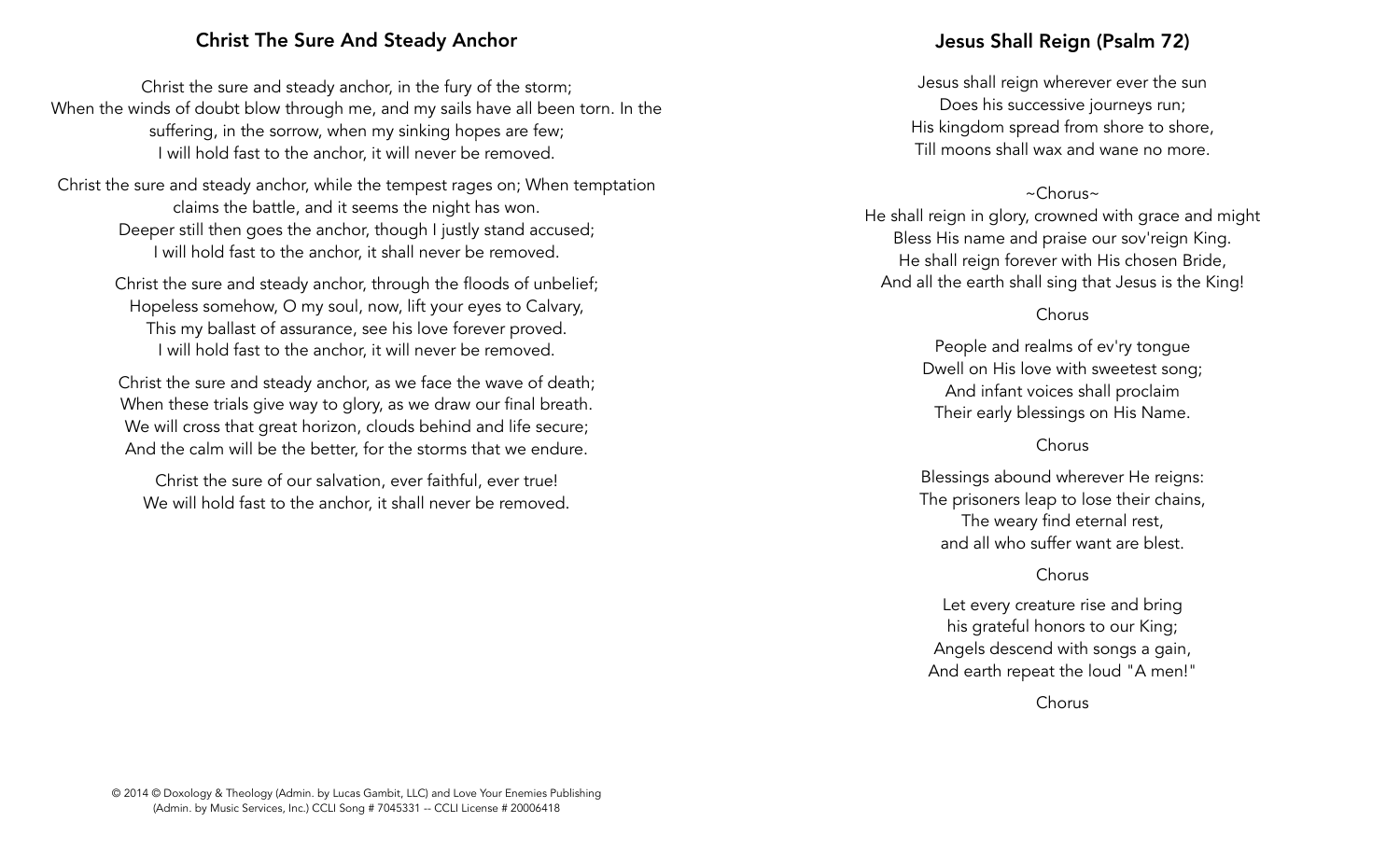# Christ The Sure And Steady Anchor

Christ the sure and steady anchor, in the fury of the storm; When the winds of doubt blow through me, and my sails have all been torn. In the suffering, in the sorrow, when my sinking hopes are few; I will hold fast to the anchor, it will never be removed.

Christ the sure and steady anchor, while the tempest rages on; When temptation claims the battle, and it seems the night has won. Deeper still then goes the anchor, though I justly stand accused; I will hold fast to the anchor, it shall never be removed.

Christ the sure and steady anchor, through the floods of unbelief; Hopeless somehow, O my soul, now, lift your eyes to Calvary, This my ballast of assurance, see his love forever proved. I will hold fast to the anchor, it will never be removed.

Christ the sure and steady anchor, as we face the wave of death; When these trials give way to glory, as we draw our final breath. We will cross that great horizon, clouds behind and life secure; And the calm will be the better, for the storms that we endure.

Christ the sure of our salvation, ever faithful, ever true! We will hold fast to the anchor, it shall never be removed.

# Jesus Shall Reign (Psalm 72)

Jesus shall reign wherever ever the sun Does his successive journeys run; His kingdom spread from shore to shore, Till moons shall wax and wane no more.

# $~\sim$ Chorus $\sim$

He shall reign in glory, crowned with grace and might Bless His name and praise our sov'reign King. He shall reign forever with His chosen Bride, And all the earth shall sing that Jesus is the King!

#### Chorus

People and realms of ev'ry tongue Dwell on His love with sweetest song; And infant voices shall proclaim Their early blessings on His Name.

#### Chorus

Blessings abound wherever He reigns: The prisoners leap to lose their chains, The weary find eternal rest, and all who suffer want are blest.

### **Chorus**

Let every creature rise and bring his grateful honors to our King; Angels descend with songs a gain, And earth repeat the loud "A men!"

**Chorus**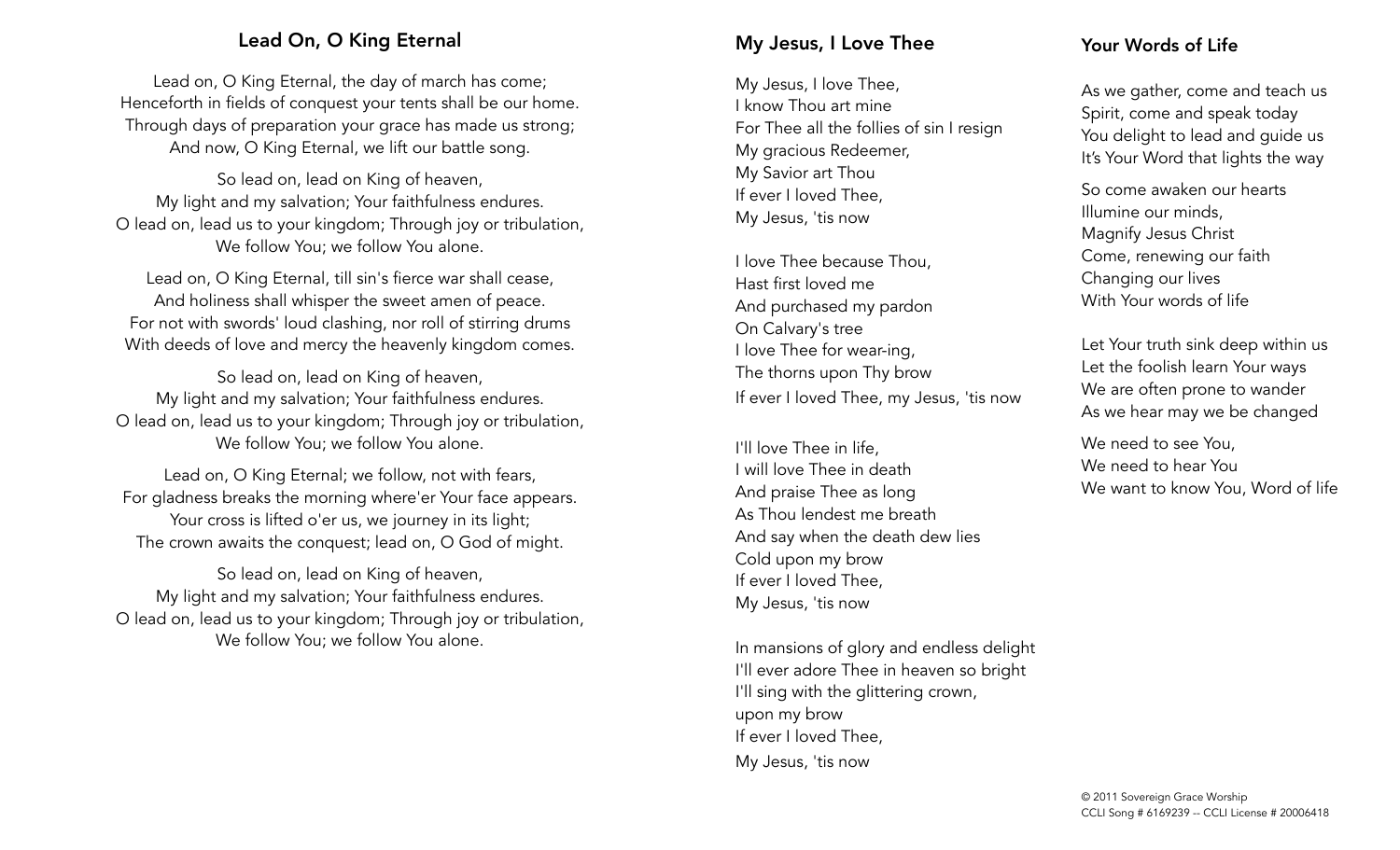# Lead On, O King Eternal

Lead on, O King Eternal, the day of march has come; Henceforth in fields of conquest your tents shall be our home. Through days of preparation your grace has made us strong; And now, O King Eternal, we lift our battle song.

So lead on, lead on King of heaven, My light and my salvation; Your faithfulness endures. O lead on, lead us to your kingdom; Through joy or tribulation, We follow You; we follow You alone.

Lead on, O King Eternal, till sin's fierce war shall cease, And holiness shall whisper the sweet amen of peace. For not with swords' loud clashing, nor roll of stirring drums With deeds of love and mercy the heavenly kingdom comes.

So lead on, lead on King of heaven, My light and my salvation; Your faithfulness endures. O lead on, lead us to your kingdom; Through joy or tribulation, We follow You; we follow You alone.

Lead on, O King Eternal; we follow, not with fears, For gladness breaks the morning where'er Your face appears. Your cross is lifted o'er us, we journey in its light; The crown awaits the conquest; lead on, O God of might.

So lead on, lead on King of heaven, My light and my salvation; Your faithfulness endures. O lead on, lead us to your kingdom; Through joy or tribulation, We follow You; we follow You alone.

# My Jesus, I Love Thee

My Jesus, I love Thee, I know Thou art mine For Thee all the follies of sin I resign My gracious Redeemer, My Savior art Thou If ever I loved Thee, My Jesus, 'tis now

I love Thee because Thou, Hast first loved me And purchased my pardon On Calvary's tree I love Thee for wear-ing, The thorns upon Thy brow If ever I loved Thee, my Jesus, 'tis now

I'll love Thee in life, I will love Thee in death And praise Thee as long As Thou lendest me breath And say when the death dew lies Cold upon my brow If ever I loved Thee, My Jesus, 'tis now

In mansions of glory and endless delight I'll ever adore Thee in heaven so bright I'll sing with the glittering crown, upon my brow If ever I loved Thee, My Jesus, 'tis now

# Your Words of Life

As we gather, come and teach us Spirit, come and speak today You delight to lead and guide us It's Your Word that lights the way

So come awaken our hearts Illumine our minds, Magnify Jesus Christ Come, renewing our faith Changing our lives With Your words of life

Let Your truth sink deep within us Let the foolish learn Your ways We are often prone to wander As we hear may we be changed

We need to see You. We need to hear You We want to know You, Word of life